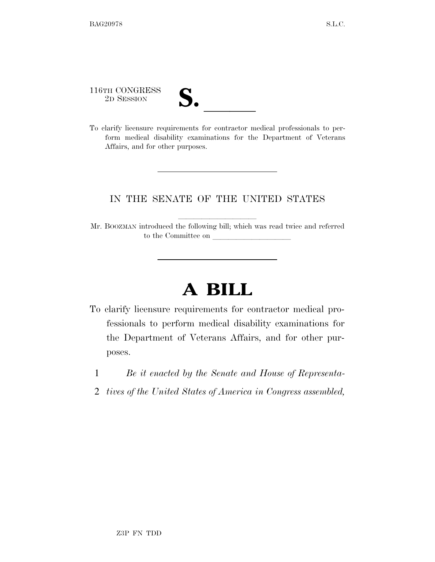116TH CONGRESS

| $\overline{\mathbf{v}}$ |  |
|-------------------------|--|
|                         |  |

116TH CONGRESS<br>
2D SESSION<br>
To clarify licensure requirements for contractor medical professionals to perform medical disability examinations for the Department of Veterans Affairs, and for other purposes.

## IN THE SENATE OF THE UNITED STATES

Mr. BOOZMAN introduced the following bill; which was read twice and referred to the Committee on

## **A BILL**

- To clarify licensure requirements for contractor medical professionals to perform medical disability examinations for the Department of Veterans Affairs, and for other purposes.
	- 1 *Be it enacted by the Senate and House of Representa-*
	- 2 *tives of the United States of America in Congress assembled,*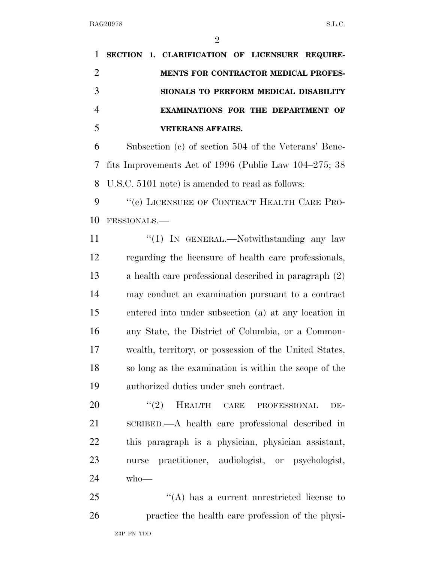| $\mathbf{1}$   | SECTION 1. CLARIFICATION OF LICENSURE REQUIRE-         |
|----------------|--------------------------------------------------------|
| $\overline{2}$ | <b>MENTS FOR CONTRACTOR MEDICAL PROFES-</b>            |
| 3              | SIONALS TO PERFORM MEDICAL DISABILITY                  |
| $\overline{4}$ | <b>EXAMINATIONS FOR THE DEPARTMENT OF</b>              |
| 5              | <b>VETERANS AFFAIRS.</b>                               |
| 6              | Subsection (c) of section 504 of the Veterans' Bene-   |
| 7              | fits Improvements Act of 1996 (Public Law 104–275; 38  |
| 8              | U.S.C. 5101 note) is amended to read as follows:       |
| 9              | "(c) LICENSURE OF CONTRACT HEALTH CARE PRO-            |
| 10             | FESSIONALS.-                                           |
| 11             | "(1) IN GENERAL.—Notwithstanding any law               |
| 12             | regarding the licensure of health care professionals,  |
| 13             | a health care professional described in paragraph (2)  |
| 14             | may conduct an examination pursuant to a contract      |
| 15             | entered into under subsection (a) at any location in   |
| 16             | any State, the District of Columbia, or a Common-      |
| 17             | wealth, territory, or possession of the United States, |
| 18             | so long as the examination is within the scope of the  |
| 19             | authorized duties under such contract.                 |
| 20             | $(2)$ HEALTH CARE<br>PROFESSIONAL<br>DE-               |
| 21             | SCRIBED.—A health care professional described in       |
| 22             | this paragraph is a physician, physician assistant,    |
| 23             | nurse practitioner, audiologist, or psychologist,      |
| 24             | $who$ —                                                |
| 25             | $\lq\lq$ has a current unrestricted license to         |

practice the health care profession of the physi-